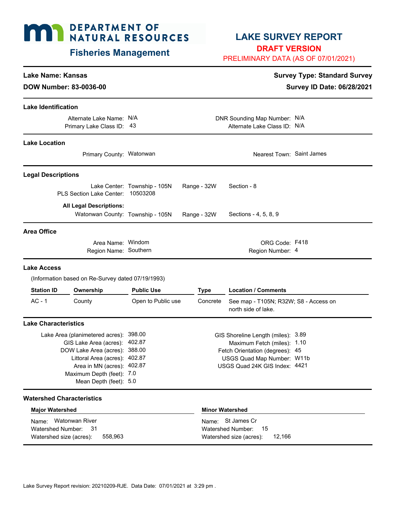# **MAY DEPARTMENT OF NATURAL RESOURCES**

# **Fisheries Management**

# **LAKE SURVEY REPORT**

**DRAFT VERSION**

PRELIMINARY DATA (AS OF 07/01/2021)

# **Lake Name: Kansas Survey Type: Standard Survey**

**DOW Number: 83-0036-00 Survey ID Date: 06/28/2021**

| <b>Lake Identification</b>       |                                                                    |                                                                                                                                                                                                                                |  |                        |                                                                                                                                                                     |  |
|----------------------------------|--------------------------------------------------------------------|--------------------------------------------------------------------------------------------------------------------------------------------------------------------------------------------------------------------------------|--|------------------------|---------------------------------------------------------------------------------------------------------------------------------------------------------------------|--|
|                                  | Alternate Lake Name: N/A<br>Primary Lake Class ID: 43              |                                                                                                                                                                                                                                |  |                        | DNR Sounding Map Number: N/A<br>Alternate Lake Class ID: N/A                                                                                                        |  |
| <b>Lake Location</b>             |                                                                    |                                                                                                                                                                                                                                |  |                        |                                                                                                                                                                     |  |
|                                  | Primary County: Watonwan                                           |                                                                                                                                                                                                                                |  |                        | Nearest Town: Saint James                                                                                                                                           |  |
| <b>Legal Descriptions</b>        |                                                                    |                                                                                                                                                                                                                                |  |                        |                                                                                                                                                                     |  |
|                                  | PLS Section Lake Center:                                           | Lake Center: Township - 105N<br>10503208                                                                                                                                                                                       |  | Range - 32W            | Section - 8                                                                                                                                                         |  |
|                                  | <b>All Legal Descriptions:</b><br>Watonwan County: Township - 105N |                                                                                                                                                                                                                                |  | Range - 32W            | Sections - 4, 5, 8, 9                                                                                                                                               |  |
| <b>Area Office</b>               |                                                                    |                                                                                                                                                                                                                                |  |                        |                                                                                                                                                                     |  |
|                                  | Area Name: Windom<br>Region Name: Southern                         |                                                                                                                                                                                                                                |  |                        | ORG Code: F418<br>Region Number: 4                                                                                                                                  |  |
| Lake Access                      |                                                                    |                                                                                                                                                                                                                                |  |                        |                                                                                                                                                                     |  |
|                                  | (Information based on Re-Survey dated 07/19/1993)                  |                                                                                                                                                                                                                                |  |                        |                                                                                                                                                                     |  |
| <b>Station ID</b>                | Ownership                                                          | <b>Public Use</b>                                                                                                                                                                                                              |  | <b>Type</b>            | <b>Location / Comments</b>                                                                                                                                          |  |
| $AC - 1$                         | County                                                             | Open to Public use                                                                                                                                                                                                             |  | Concrete               | See map - T105N; R32W; S8 - Access on<br>north side of lake.                                                                                                        |  |
| <b>Lake Characteristics</b>      |                                                                    |                                                                                                                                                                                                                                |  |                        |                                                                                                                                                                     |  |
|                                  |                                                                    | Lake Area (planimetered acres): 398.00<br>GIS Lake Area (acres): 402.87<br>DOW Lake Area (acres): 388.00<br>Littoral Area (acres): 402.87<br>Area in MN (acres): 402.87<br>Maximum Depth (feet): 7.0<br>Mean Depth (feet): 5.0 |  |                        | GIS Shoreline Length (miles): 3.89<br>Maximum Fetch (miles): 1.10<br>Fetch Orientation (degrees): 45<br>USGS Quad Map Number: W11b<br>USGS Quad 24K GIS Index: 4421 |  |
| <b>Watershed Characteristics</b> |                                                                    |                                                                                                                                                                                                                                |  |                        |                                                                                                                                                                     |  |
| <b>Major Watershed</b>           |                                                                    |                                                                                                                                                                                                                                |  | <b>Minor Watershed</b> |                                                                                                                                                                     |  |

| <b>HAJAL LIAMALIANA</b>                                                 |         | 1111191 <b>11469191194</b>                                                  |  |  |  |
|-------------------------------------------------------------------------|---------|-----------------------------------------------------------------------------|--|--|--|
| Name: Watonwan River<br>Watershed Number: 31<br>Watershed size (acres): | 558.963 | Name: St James Cr<br>Watershed Number: 15<br>Watershed size (acres): 12,166 |  |  |  |
|                                                                         |         |                                                                             |  |  |  |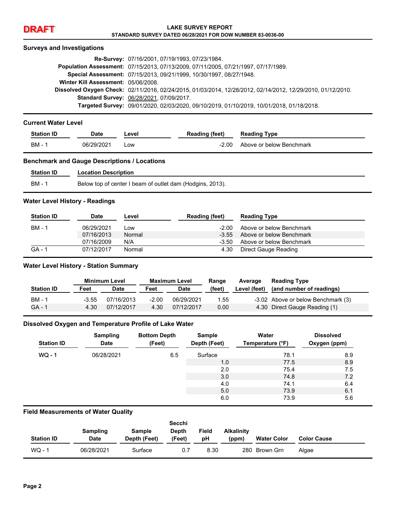#### **Surveys and Investigations**

|                                     | Re-Survey: 07/16/2001, 07/19/1993, 07/23/1984.                                                              |
|-------------------------------------|-------------------------------------------------------------------------------------------------------------|
|                                     | Population Assessment: 07/15/2013, 07/13/2009, 07/11/2005, 07/21/1997, 07/17/1989.                          |
|                                     | Special Assessment: 07/15/2013, 09/21/1999, 10/30/1997, 08/27/1948.                                         |
| Winter Kill Assessment: 05/06/2008. |                                                                                                             |
|                                     | Dissolved Oxygen Check: 02/11/2016, 02/24/2015, 01/03/2014, 12/28/2012, 02/14/2012, 12/29/2010, 01/12/2010. |
|                                     | <b>Standard Survey: 06/28/2021, 07/09/2017.</b>                                                             |
|                                     | Targeted Survey: 09/01/2020, 02/03/2020, 09/10/2019, 01/10/2019, 10/01/2018, 01/18/2018.                    |

#### **Current Water Level**

| <b>Station ID</b> | Date       | ∟evel | <b>Reading (feet)</b> | <b>Reading Type</b>      |
|-------------------|------------|-------|-----------------------|--------------------------|
| BM                | 06/29/2021 | _ow   | $-2.00$               | Above or below Benchmark |

#### **Benchmark and Gauge Descriptions / Locations**

| <b>Station ID</b> | <b>Location Description</b>                               |
|-------------------|-----------------------------------------------------------|
| BM -              | Below top of center I beam of outlet dam (Hodgins, 2013). |

#### **Water Level History - Readings**

| <b>Station ID</b> | Date       | Level  | <b>Reading (feet)</b> | <b>Reading Type</b>      |
|-------------------|------------|--------|-----------------------|--------------------------|
| <b>BM - 1</b>     | 06/29/2021 | Low    | -2.00                 | Above or below Benchmark |
|                   | 07/16/2013 | Normal | $-3.55$               | Above or below Benchmark |
|                   | 07/16/2009 | N/A    | -3.50                 | Above or below Benchmark |
| $GA - 1$          | 07/12/2017 | Normal | 4.30                  | Direct Gauge Reading     |

#### **Water Level History - Station Summary**

|                   | <b>Minimum Level</b> |            | <b>Maximum Level</b> |             | Range  | Average      | <b>Reading Type</b>                |
|-------------------|----------------------|------------|----------------------|-------------|--------|--------------|------------------------------------|
| <b>Station ID</b> | Feet                 | Date       | Feet                 | <b>Date</b> | (feet) | Level (feet) | (and number of readings)           |
| BM - 1            | $-3.55$              | 07/16/2013 | $-2.00$              | 06/29/2021  | 1.55   |              | -3.02 Above or below Benchmark (3) |
| GA - 1            | 4.30                 | 07/12/2017 | 4.30                 | 07/12/2017  | 0.00   |              | 4.30 Direct Gauge Reading (1)      |

#### **Dissolved Oxygen and Temperature Profile of Lake Water**

| <b>Station ID</b> | <b>Sampling</b><br><b>Date</b> | <b>Bottom Depth</b><br>(Feet) | <b>Sample</b><br>Depth (Feet) | Water<br>Temperature (°F) | <b>Dissolved</b><br>Oxygen (ppm) |
|-------------------|--------------------------------|-------------------------------|-------------------------------|---------------------------|----------------------------------|
| $WO - 1$          | 06/28/2021                     | 6.5                           | Surface                       | 78.1                      | 8.9                              |
|                   |                                |                               | 1.0                           | 77.5                      | 8.9                              |
|                   |                                |                               | 2.0                           | 75.4                      | 7.5                              |
|                   |                                |                               | 3.0                           | 74.8                      | 7.2                              |
|                   |                                |                               | 4.0                           | 74.1                      | 6.4                              |
|                   |                                |                               | 5.0                           | 73.9                      | 6.1                              |
|                   |                                |                               | 6.0                           | 73.9                      | 5.6                              |

#### **Field Measurements of Water Quality**

|                   | Sampling    | Sample       | Secchi<br><b>Depth</b> | Field | <b>Alkalinity</b> |                    |                    |
|-------------------|-------------|--------------|------------------------|-------|-------------------|--------------------|--------------------|
| <b>Station ID</b> | <b>Date</b> | Depth (Feet) | (Feet)                 | рH    | (ppm)             | <b>Water Color</b> | <b>Color Cause</b> |
| $WO - 1$          | 06/28/2021  | Surface      | 0.7                    | 8.30  | 280               | Brown Grn          | Algae              |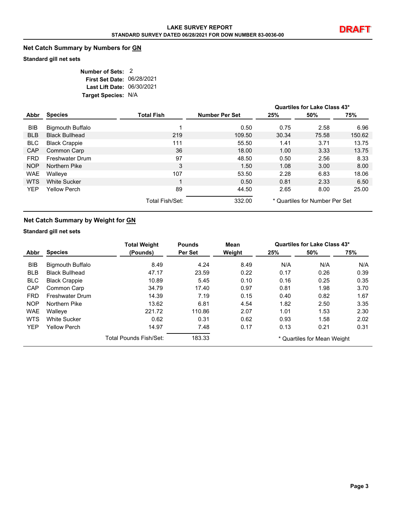### **Net Catch Summary by Numbers for GN**

#### **Standard gill net sets**

| Number of Sets: 2          |  |
|----------------------------|--|
| First Set Date: 06/28/2021 |  |
| Last Lift Date: 06/30/2021 |  |
| Target Species: N/A        |  |

|            |                         |                   |                       |       | Quartiles for Lake Class 43*   |        |
|------------|-------------------------|-------------------|-----------------------|-------|--------------------------------|--------|
| Abbr       | <b>Species</b>          | <b>Total Fish</b> | <b>Number Per Set</b> | 25%   | 50%                            | 75%    |
| <b>BIB</b> | <b>Bigmouth Buffalo</b> |                   | 0.50                  | 0.75  | 2.58                           | 6.96   |
| <b>BLB</b> | <b>Black Bullhead</b>   | 219               | 109.50                | 30.34 | 75.58                          | 150.62 |
| <b>BLC</b> | <b>Black Crappie</b>    | 111               | 55.50                 | 1.41  | 3.71                           | 13.75  |
| <b>CAP</b> | Common Carp             | 36                | 18.00                 | 1.00  | 3.33                           | 13.75  |
| <b>FRD</b> | Freshwater Drum         | 97                | 48.50                 | 0.50  | 2.56                           | 8.33   |
| NOP        | Northern Pike           | 3                 | 1.50                  | 1.08  | 3.00                           | 8.00   |
| <b>WAE</b> | Walleye                 | 107               | 53.50                 | 2.28  | 6.83                           | 18.06  |
| <b>WTS</b> | <b>White Sucker</b>     |                   | 0.50                  | 0.81  | 2.33                           | 6.50   |
| <b>YEP</b> | <b>Yellow Perch</b>     | 89                | 44.50                 | 2.65  | 8.00                           | 25.00  |
|            |                         | Total Fish/Set:   | 332.00                |       | * Quartiles for Number Per Set |        |

#### **Net Catch Summary by Weight for GN**

#### **Standard gill net sets**

|            |                         | <b>Total Weight</b>    | <b>Pounds</b> | Mean   |      | Quartiles for Lake Class 43* |      |
|------------|-------------------------|------------------------|---------------|--------|------|------------------------------|------|
| Abbr       | <b>Species</b>          | (Pounds)               | Per Set       | Weight | 25%  | 50%                          | 75%  |
| <b>BIB</b> | <b>Bigmouth Buffalo</b> | 8.49                   | 4.24          | 8.49   | N/A  | N/A                          | N/A  |
| <b>BLB</b> | <b>Black Bullhead</b>   | 47.17                  | 23.59         | 0.22   | 0.17 | 0.26                         | 0.39 |
| <b>BLC</b> | <b>Black Crappie</b>    | 10.89                  | 5.45          | 0.10   | 0.16 | 0.25                         | 0.35 |
| CAP        | Common Carp             | 34.79                  | 17.40         | 0.97   | 0.81 | 1.98                         | 3.70 |
| <b>FRD</b> | <b>Freshwater Drum</b>  | 14.39                  | 7.19          | 0.15   | 0.40 | 0.82                         | 1.67 |
| <b>NOP</b> | Northern Pike           | 13.62                  | 6.81          | 4.54   | 1.82 | 2.50                         | 3.35 |
| <b>WAE</b> | Walleye                 | 221.72                 | 110.86        | 2.07   | 1.01 | 1.53                         | 2.30 |
| <b>WTS</b> | <b>White Sucker</b>     | 0.62                   | 0.31          | 0.62   | 0.93 | 1.58                         | 2.02 |
| <b>YEP</b> | <b>Yellow Perch</b>     | 14.97                  | 7.48          | 0.17   | 0.13 | 0.21                         | 0.31 |
|            |                         | Total Pounds Fish/Set: | 183.33        |        |      | * Quartiles for Mean Weight  |      |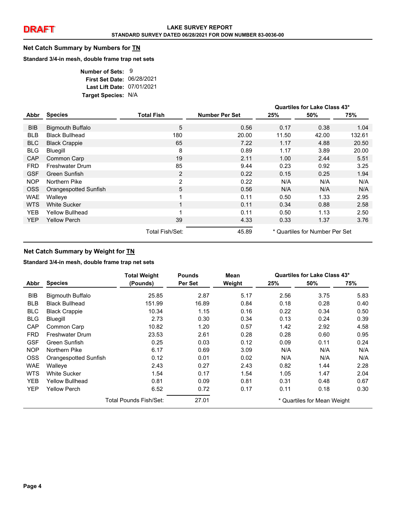#### **Net Catch Summary by Numbers for TN**

#### **Standard 3/4-in mesh, double frame trap net sets**

| Number of Sets: 9          |  |
|----------------------------|--|
| First Set Date: 06/28/2021 |  |
| Last Lift Date: 07/01/2021 |  |
| Target Species: N/A        |  |

|            |                         |                   |                       | Quartiles for Lake Class 43* |                                |        |
|------------|-------------------------|-------------------|-----------------------|------------------------------|--------------------------------|--------|
| Abbr       | <b>Species</b>          | <b>Total Fish</b> | <b>Number Per Set</b> | 25%                          | 50%                            | 75%    |
| <b>BIB</b> | <b>Bigmouth Buffalo</b> | 5                 | 0.56                  | 0.17                         | 0.38                           | 1.04   |
| <b>BLB</b> | <b>Black Bullhead</b>   | 180               | 20.00                 | 11.50                        | 42.00                          | 132.61 |
| <b>BLC</b> | <b>Black Crappie</b>    | 65                | 7.22                  | 1.17                         | 4.88                           | 20.50  |
| <b>BLG</b> | Bluegill                | 8                 | 0.89                  | 1.17                         | 3.89                           | 20.00  |
| <b>CAP</b> | Common Carp             | 19                | 2.11                  | 1.00                         | 2.44                           | 5.51   |
| <b>FRD</b> | <b>Freshwater Drum</b>  | 85                | 9.44                  | 0.23                         | 0.92                           | 3.25   |
| <b>GSF</b> | Green Sunfish           | 2                 | 0.22                  | 0.15                         | 0.25                           | 1.94   |
| <b>NOP</b> | Northern Pike           | $\overline{c}$    | 0.22                  | N/A                          | N/A                            | N/A    |
| <b>OSS</b> | Orangespotted Sunfish   | 5                 | 0.56                  | N/A                          | N/A                            | N/A    |
| <b>WAE</b> | Walleye                 | 1                 | 0.11                  | 0.50                         | 1.33                           | 2.95   |
| <b>WTS</b> | <b>White Sucker</b>     | $\mathbf{1}$      | 0.11                  | 0.34                         | 0.88                           | 2.58   |
| YEB.       | Yellow Bullhead         | $\overline{ }$    | 0.11                  | 0.50                         | 1.13                           | 2.50   |
| <b>YEP</b> | <b>Yellow Perch</b>     | 39                | 4.33                  | 0.33                         | 1.37                           | 3.76   |
|            |                         | Total Fish/Set:   | 45.89                 |                              | * Quartiles for Number Per Set |        |

## **Net Catch Summary by Weight for TN**

#### **Standard 3/4-in mesh, double frame trap net sets**

|            |                         | <b>Total Weight</b>    | <b>Pounds</b> | Mean   | Quartiles for Lake Class 43* |      |      |
|------------|-------------------------|------------------------|---------------|--------|------------------------------|------|------|
| Abbr       | <b>Species</b>          | (Pounds)               | Per Set       | Weight | 25%                          | 50%  | 75%  |
| <b>BIB</b> | <b>Bigmouth Buffalo</b> | 25.85                  | 2.87          | 5.17   | 2.56                         | 3.75 | 5.83 |
| <b>BLB</b> | <b>Black Bullhead</b>   | 151.99                 | 16.89         | 0.84   | 0.18                         | 0.28 | 0.40 |
| <b>BLC</b> | <b>Black Crappie</b>    | 10.34                  | 1.15          | 0.16   | 0.22                         | 0.34 | 0.50 |
| <b>BLG</b> | Bluegill                | 2.73                   | 0.30          | 0.34   | 0.13                         | 0.24 | 0.39 |
| CAP        | Common Carp             | 10.82                  | 1.20          | 0.57   | 1.42                         | 2.92 | 4.58 |
| <b>FRD</b> | Freshwater Drum         | 23.53                  | 2.61          | 0.28   | 0.28                         | 0.60 | 0.95 |
| <b>GSF</b> | Green Sunfish           | 0.25                   | 0.03          | 0.12   | 0.09                         | 0.11 | 0.24 |
| <b>NOP</b> | Northern Pike           | 6.17                   | 0.69          | 3.09   | N/A                          | N/A  | N/A  |
| <b>OSS</b> | Orangespotted Sunfish   | 0.12                   | 0.01          | 0.02   | N/A                          | N/A  | N/A  |
| <b>WAE</b> | Walleye                 | 2.43                   | 0.27          | 2.43   | 0.82                         | 1.44 | 2.28 |
| <b>WTS</b> | <b>White Sucker</b>     | 1.54                   | 0.17          | 1.54   | 1.05                         | 1.47 | 2.04 |
| <b>YEB</b> | Yellow Bullhead         | 0.81                   | 0.09          | 0.81   | 0.31                         | 0.48 | 0.67 |
| <b>YEP</b> | <b>Yellow Perch</b>     | 6.52                   | 0.72          | 0.17   | 0.11                         | 0.18 | 0.30 |
|            |                         | Total Pounds Fish/Set: | 27.01         |        | * Quartiles for Mean Weight  |      |      |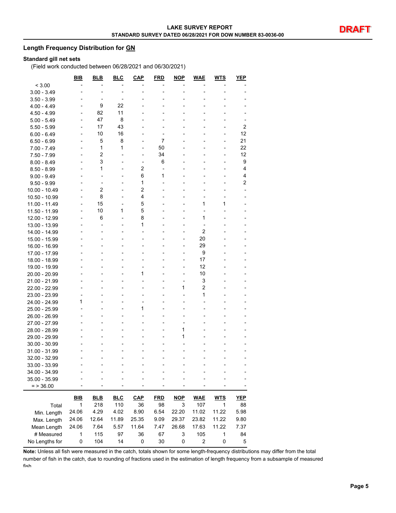#### **Length Frequency Distribution for GN**

#### **Standard gill net sets**

(Field work conducted between 06/28/2021 and 06/30/2021)

|                                | BIB            | <b>BLB</b>     | <b>BLC</b>     | <b>CAP</b>               | <b>FRD</b>     | <b>NOP</b>               | <b>WAE</b>              | <b>WTS</b> | <b>YEP</b>     |
|--------------------------------|----------------|----------------|----------------|--------------------------|----------------|--------------------------|-------------------------|------------|----------------|
| < 3.00                         |                |                |                |                          |                |                          |                         |            |                |
| $3.00 - 3.49$                  |                |                | $\overline{a}$ | L,                       |                | $\overline{a}$           |                         |            |                |
| $3.50 - 3.99$                  |                |                | ٠              |                          |                | ٠                        | -                       |            |                |
| $4.00 - 4.49$                  |                | 9              | 22             |                          |                |                          |                         |            |                |
| $4.50 - 4.99$                  |                | 82             | 11             |                          |                |                          |                         |            |                |
| $5.00 - 5.49$                  |                | 47             | 8              |                          |                |                          |                         |            |                |
| $5.50 - 5.99$                  |                | 17             | 43             |                          |                |                          |                         |            | 2              |
| $6.00 - 6.49$                  | ٠              | 10             | 16             |                          | -              |                          | -                       |            | 12             |
| $6.50 - 6.99$                  |                | 5              | 8              | $\overline{a}$           | 7              |                          | -                       |            | 21             |
| 7.00 - 7.49                    |                | 1              | 1              | L,                       | 50             |                          | -                       |            | 22             |
| $7.50 - 7.99$                  |                | $\overline{c}$ |                | L,                       | 34             |                          |                         |            | 12             |
| $8.00 - 8.49$                  |                | 3              |                | ÷,                       | 6              |                          |                         |            | 9              |
| $8.50 - 8.99$                  |                | 1              |                | 2                        | $\overline{a}$ |                          | -                       |            | 4              |
| $9.00 - 9.49$                  |                | $\overline{a}$ |                | 6                        | 1              |                          |                         |            | 4              |
| $9.50 - 9.99$                  |                | $\overline{a}$ |                | 1                        | $\overline{a}$ |                          |                         |            | $\overline{c}$ |
| 10.00 - 10.49                  |                | 2              |                | $\overline{2}$           |                |                          |                         |            |                |
| 10.50 - 10.99                  |                | 8              |                | 4                        |                |                          |                         |            |                |
| 11.00 - 11.49                  | $\overline{a}$ | 15             | Ĭ.             | 5                        |                | $\overline{\phantom{a}}$ | 1                       | 1          |                |
| 11.50 - 11.99                  |                | 10             | 1              | 5                        |                |                          |                         |            |                |
| 12.00 - 12.99                  |                | 6              | $\overline{a}$ | 8                        |                |                          | 1                       |            |                |
| 13.00 - 13.99                  |                |                |                | 1                        |                |                          |                         |            |                |
| 14.00 - 14.99                  |                | L,             |                | $\overline{a}$           |                | $\overline{a}$           | $\overline{2}$          |            |                |
| 15.00 - 15.99                  |                | $\overline{a}$ |                | $\overline{\phantom{0}}$ |                | $\overline{\phantom{a}}$ | 20                      |            |                |
|                                |                |                |                |                          |                |                          | 29                      |            |                |
| 16.00 - 16.99<br>17.00 - 17.99 |                |                |                |                          |                | $\overline{a}$           | 9                       |            |                |
| 18.00 - 18.99                  |                |                |                |                          |                | $\overline{a}$           | 17                      |            |                |
| 19.00 - 19.99                  |                |                |                | $\overline{a}$           |                | $\overline{a}$           | 12                      |            |                |
| 20.00 - 20.99                  |                | $\overline{a}$ |                | 1                        |                | $\overline{a}$           | 10                      |            |                |
| 21.00 - 21.99                  |                |                |                | $\overline{\phantom{0}}$ |                | $\overline{a}$           | 3                       |            |                |
| 22.00 - 22.99                  |                |                |                | $\overline{a}$           |                | 1                        | $\overline{2}$          |            |                |
| 23.00 - 23.99                  |                |                |                |                          |                |                          | 1                       |            |                |
| 24.00 - 24.99                  | 1              |                |                | $\overline{a}$           |                |                          |                         |            |                |
| 25.00 - 25.99                  |                | $\overline{a}$ |                | 1                        |                |                          | -                       |            |                |
| 26.00 - 26.99                  |                |                |                |                          |                |                          |                         |            |                |
| 27.00 - 27.99                  |                |                |                |                          |                |                          |                         |            |                |
| 28.00 - 28.99                  |                |                |                |                          |                | 1                        |                         |            |                |
| 29.00 - 29.99                  |                |                |                |                          |                | 1                        |                         |            |                |
| $30.00 - 30.99$                |                |                |                |                          |                | $\overline{\phantom{a}}$ |                         |            |                |
| 31.00 - 31.99                  |                |                |                |                          |                |                          |                         |            |                |
| 32.00 - 32.99                  |                |                |                |                          |                |                          |                         |            |                |
| 33.00 - 33.99                  |                |                |                |                          |                |                          |                         |            |                |
| 34.00 - 34.99                  |                |                |                |                          |                |                          |                         |            |                |
| 35.00 - 35.99                  |                |                |                |                          |                |                          |                         |            |                |
| $=$ > 36.00                    |                |                |                |                          |                |                          |                         |            |                |
|                                |                |                |                |                          |                |                          |                         |            |                |
|                                | <b>BIB</b>     | <b>BLB</b>     | <b>BLC</b>     | <b>CAP</b>               | <b>FRD</b>     | <b>NOP</b>               | <b>WAE</b>              | <b>WTS</b> | <b>YEP</b>     |
| Total                          | 1              | 218            | 110            | 36                       | 98             | 3                        | 107                     | 1          | 88             |
| Min. Length                    | 24.06          | 4.29           | 4.02           | 8.90                     | 6.54           | 22.20                    | 11.02                   | 11.22      | 5.98           |
| Max. Length                    | 24.06          | 12.64          | 11.89          | 25.35                    | 9.09           | 29.37                    | 23.82                   | 11.22      | 9.80           |
| Mean Length                    | 24.06          | 7.64           | 5.57           | 11.64                    | 7.47           | 26.68                    | 17.63                   | 11.22      | 7.37           |
| # Measured                     | $\mathbf 1$    | 115            | 97             | 36                       | 67             | 3                        | 105                     | 1          | 84             |
| No Lengths for                 | $\pmb{0}$      | 104            | 14             | 0                        | 30             | 0                        | $\overline{\mathbf{c}}$ | $\pmb{0}$  | 5              |

**Note:** Unless all fish were measured in the catch, totals shown for some length-frequency distributions may differ from the total number of fish in the catch, due to rounding of fractions used in the estimation of length frequency from a subsample of measured fish.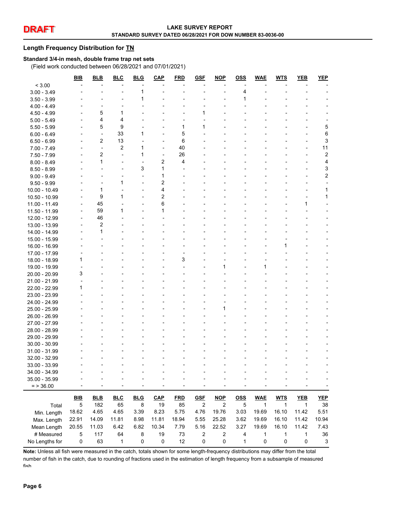#### **Length Frequency Distribution for TN**

#### **Standard 3/4-in mesh, double frame trap net sets**

(Field work conducted between 06/28/2021 and 07/01/2021)

|                | <b>BIB</b>  | <b>BLB</b>              | <b>BLC</b>     | <b>BLG</b>     | <b>CAP</b>     | <b>FRD</b> | <b>GSF</b>     | <b>NOP</b>     | <u>OSS</u>     | <b>WAE</b>   | <b>WTS</b>   | YEB          | YEP                       |
|----------------|-------------|-------------------------|----------------|----------------|----------------|------------|----------------|----------------|----------------|--------------|--------------|--------------|---------------------------|
| < 3.00         |             |                         |                |                |                |            |                |                |                |              |              |              |                           |
| $3.00 - 3.49$  |             |                         |                | 1              |                |            |                |                | 4              |              |              |              |                           |
| $3.50 - 3.99$  |             |                         |                | 1              |                |            |                |                | 1              |              |              |              |                           |
| $4.00 - 4.49$  |             |                         |                |                |                |            |                |                |                |              |              |              |                           |
| $4.50 - 4.99$  |             | 5                       | 1              |                |                |            | 1              |                |                |              |              |              |                           |
| $5.00 - 5.49$  |             | 4                       | 4              |                |                |            |                |                |                |              |              |              |                           |
| $5.50 - 5.99$  |             | 5                       | 9              |                |                | 1          | 1              |                |                |              |              |              | 5                         |
| $6.00 - 6.49$  |             | ÷,                      | 33             | 1              |                | 5          |                |                |                |              |              |              | 6                         |
| $6.50 - 6.99$  |             | 2                       | 13             |                |                | 6          |                |                |                |              |              |              | 3                         |
| $7.00 - 7.49$  |             | ä,                      | $\overline{2}$ | 1              |                | 40         |                |                |                |              |              |              | 11                        |
| 7.50 - 7.99    |             | 2                       | ÷,             | 1              | ÷,             | 26         |                |                |                |              |              |              | $\sqrt{2}$                |
| $8.00 - 8.49$  |             | 1                       |                | $\overline{a}$ | 2              | 4          |                |                |                |              |              |              | 4                         |
| $8.50 - 8.99$  |             |                         |                | 3              | 1              |            |                |                |                |              |              |              | 3                         |
| $9.00 - 9.49$  |             |                         |                |                | 1              |            |                |                |                |              |              |              | $\boldsymbol{2}$          |
| $9.50 - 9.99$  |             |                         | 1              |                | 2              |            |                |                |                |              |              |              |                           |
| 10.00 - 10.49  |             | 1                       |                |                | 4              |            |                |                |                |              |              |              | $\mathbf{1}$              |
| 10.50 - 10.99  |             | 9                       | 1              |                | $\overline{2}$ |            |                |                |                |              |              |              | 1                         |
| 11.00 - 11.49  |             | 45                      |                |                | 6              |            |                |                |                |              |              | 1            |                           |
| 11.50 - 11.99  |             | 59                      | 1              |                | 1              |            |                |                |                |              |              |              |                           |
| 12.00 - 12.99  |             | 46                      |                |                |                |            |                |                |                |              |              |              |                           |
| 13.00 - 13.99  |             | $\overline{\mathbf{c}}$ |                |                |                |            |                |                |                |              |              |              |                           |
| 14.00 - 14.99  |             | 1                       |                |                |                |            |                |                |                |              |              |              |                           |
| 15.00 - 15.99  |             |                         |                |                |                |            |                |                |                |              |              |              |                           |
| 16.00 - 16.99  |             |                         |                |                |                |            |                |                |                |              |              |              |                           |
| 17.00 - 17.99  |             |                         |                |                |                |            |                |                |                |              |              |              |                           |
| 18.00 - 18.99  | 1           |                         |                |                |                | 3          |                |                |                |              |              |              |                           |
| 19.00 - 19.99  |             |                         |                |                |                |            |                | 1              |                | 1            |              |              |                           |
| 20.00 - 20.99  | 3           |                         |                |                |                |            |                |                |                |              |              |              |                           |
| 21.00 - 21.99  |             |                         |                |                |                |            |                |                |                |              |              |              |                           |
| 22.00 - 22.99  | 1           |                         |                |                |                |            |                |                |                |              |              |              |                           |
| 23.00 - 23.99  |             |                         |                |                |                |            |                |                |                |              |              |              |                           |
| 24.00 - 24.99  |             |                         |                |                |                |            |                |                |                |              |              |              |                           |
| 25.00 - 25.99  |             |                         |                |                |                |            |                | 1              |                |              |              |              |                           |
| 26.00 - 26.99  |             |                         |                |                |                |            |                |                |                |              |              |              |                           |
| 27.00 - 27.99  |             |                         |                |                |                |            |                |                |                |              |              |              |                           |
| 28.00 - 28.99  |             |                         |                |                |                |            |                |                |                |              |              |              |                           |
| 29.00 - 29.99  |             |                         |                |                |                |            |                |                |                |              |              |              |                           |
| 30.00 - 30.99  |             |                         |                |                |                |            |                |                |                |              |              |              |                           |
| 31.00 - 31.99  |             |                         |                |                |                |            |                |                |                |              |              |              |                           |
| 32.00 - 32.99  |             |                         |                |                |                |            |                |                |                |              |              |              |                           |
| 33.00 - 33.99  |             |                         |                |                |                |            |                |                |                |              |              |              |                           |
| 34.00 - 34.99  |             |                         |                |                |                |            |                |                |                |              |              |              |                           |
| 35.00 - 35.99  |             |                         |                |                |                |            |                |                |                |              |              |              |                           |
| $=$ > 36.00    |             |                         |                |                |                |            |                |                |                |              |              |              |                           |
|                |             |                         |                |                |                |            |                |                |                |              |              |              |                           |
|                | BIB         | <b>BLB</b>              | <b>BLC</b>     | <b>BLG</b>     | CAP            | <b>FRD</b> | <b>GSF</b>     | $NOP$          | <u>OSS</u>     | <b>WAE</b>   | <b>WTS</b>   | YEB          | YEP                       |
| Total          | 5           | 182                     | 65             | 8              | 19             | 85         | $\overline{c}$ | $\overline{c}$ | $\overline{5}$ | $\mathbf{1}$ | $\mathbf{1}$ | $\mathbf{1}$ | 38                        |
| Min. Length    | 18.62       | 4.65                    | 4.65           | 3.39           | 8.23           | 5.75       | 4.76           | 19.76          | 3.03           | 19.69        | 16.10        | 11.42        | 5.51                      |
| Max. Length    | 22.91       | 14.09                   | 11.81          | 8.98           | 11.81          | 18.94      | 5.55           | 25.28          | 3.62           | 19.69        | 16.10        | 11.42        | 10.94                     |
| Mean Length    | 20.55       | 11.03                   | 6.42           | 6.82           | 10.34          | 7.79       | 5.16           | 22.52          | 3.27           | 19.69        | 16.10        | 11.42        | 7.43                      |
| # Measured     | $\mathbf 5$ | 117                     | 64             | 8              | 19             | 73         | 2              | 2              | 4              | $\mathbf{1}$ | 1            | $\mathbf{1}$ | 36                        |
| No Lengths for | $\pmb{0}$   | 63                      | $\mathbf{1}$   | $\pmb{0}$      | $\pmb{0}$      | 12         | 0              | 0              | 1              | 0            | $\pmb{0}$    | 0            | $\ensuremath{\mathsf{3}}$ |

**Note:** Unless all fish were measured in the catch, totals shown for some length-frequency distributions may differ from the total number of fish in the catch, due to rounding of fractions used in the estimation of length frequency from a subsample of measured fish.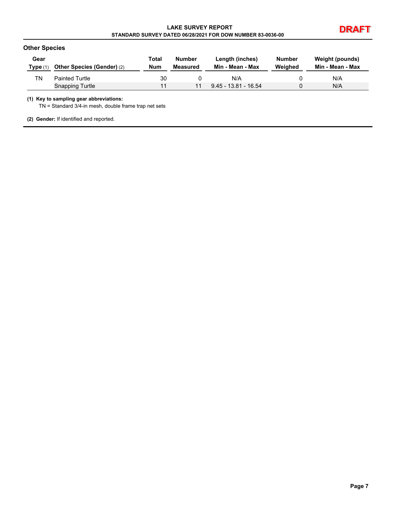# **DRAFT LAKE SURVEY REPORT STANDARD SURVEY DATED 06/28/2021 FOR DOW NUMBER 83-0036-00**



### **Other Species**

| Gear<br>Type (1) | <b>Other Species (Gender) (2)</b> | Total<br><b>Num</b> | Number<br>Measured | Length (inches)<br>Min - Mean - Max | Number<br>Weighed | Weight (pounds)<br>Min - Mean - Max |
|------------------|-----------------------------------|---------------------|--------------------|-------------------------------------|-------------------|-------------------------------------|
| ΤN               | <b>Painted Turtle</b>             | 30                  |                    | N/A                                 |                   | N/A                                 |
|                  | <b>Snapping Turtle</b>            | 11                  | 11                 | $9.45 - 13.81 - 16.54$              |                   | N/A                                 |

#### **(1) Key to sampling gear abbreviations:**

TN = Standard 3/4-in mesh, double frame trap net sets

**(2) Gender:** If identified and reported.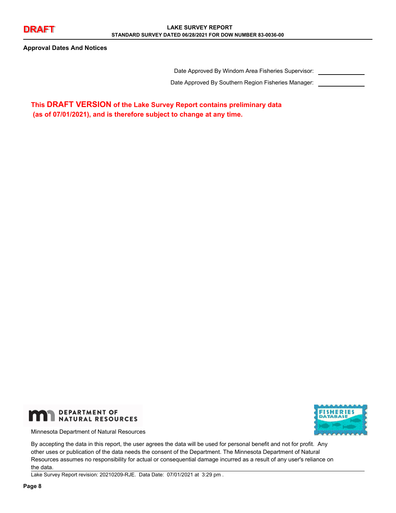**Approval Dates And Notices**

Date Approved By Windom Area Fisheries Supervisor:

Date Approved By Southern Region Fisheries Manager:

**This DRAFT VERSION of the Lake Survey Report contains preliminary data (as of 07/01/2021), and is therefore subject to change at any time.**



Minnesota Department of Natural Resources



By accepting the data in this report, the user agrees the data will be used for personal benefit and not for profit. Any other uses or publication of the data needs the consent of the Department. The Minnesota Department of Natural Resources assumes no responsibility for actual or consequential damage incurred as a result of any user's reliance on the data.

Lake Survey Report revision: 20210209-RJE. Data Date: 07/01/2021 at 3:29 pm .